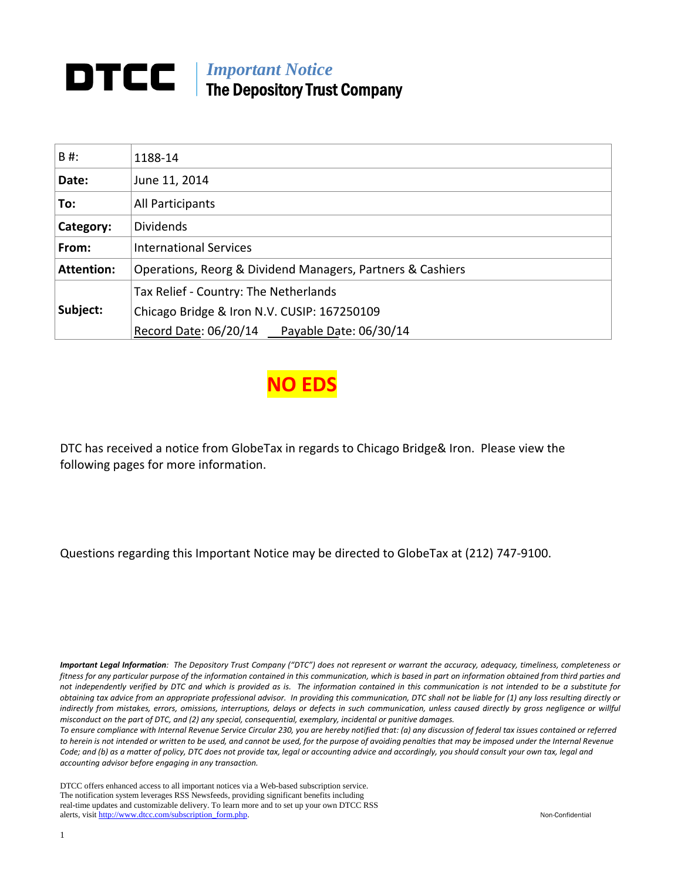# *Important Notice*  The Depository Trust Company

| B#:               | 1188-14                                                    |
|-------------------|------------------------------------------------------------|
| Date:             | June 11, 2014                                              |
| To:               | All Participants                                           |
| Category:         | <b>Dividends</b>                                           |
| From:             | <b>International Services</b>                              |
| <b>Attention:</b> | Operations, Reorg & Dividend Managers, Partners & Cashiers |
|                   | Tax Relief - Country: The Netherlands                      |
| Subject:          | Chicago Bridge & Iron N.V. CUSIP: 167250109                |
|                   | Record Date: 06/20/14 Payable Date: 06/30/14               |



DTC has received a notice from GlobeTax in regards to Chicago Bridge& Iron. Please view the following pages for more information.

Questions regarding this Important Notice may be directed to GlobeTax at (212) 747‐9100.

Important Legal Information: The Depository Trust Company ("DTC") does not represent or warrant the accuracy, adequacy, timeliness, completeness or fitness for any particular purpose of the information contained in this communication, which is based in part on information obtained from third parties and not independently verified by DTC and which is provided as is. The information contained in this communication is not intended to be a substitute for obtaining tax advice from an appropriate professional advisor. In providing this communication, DTC shall not be liable for (1) any loss resulting directly or indirectly from mistakes, errors, omissions, interruptions, delays or defects in such communication, unless caused directly by gross negligence or willful *misconduct on the part of DTC, and (2) any special, consequential, exemplary, incidental or punitive damages.*

To ensure compliance with Internal Revenue Service Circular 230, you are hereby notified that: (a) any discussion of federal tax issues contained or referred to herein is not intended or written to be used, and cannot be used, for the purpose of avoiding penalties that may be imposed under the Internal Revenue Code; and (b) as a matter of policy, DTC does not provide tax, legal or accounting advice and accordingly, you should consult your own tax, legal and *accounting advisor before engaging in any transaction.*

DTCC offers enhanced access to all important notices via a Web-based subscription service. The notification system leverages RSS Newsfeeds, providing significant benefits including real-time updates and customizable delivery. To learn more and to set up your own DTCC RSS alerts, visit http://www.dtcc.com/subscription\_form.php. Non-Confidential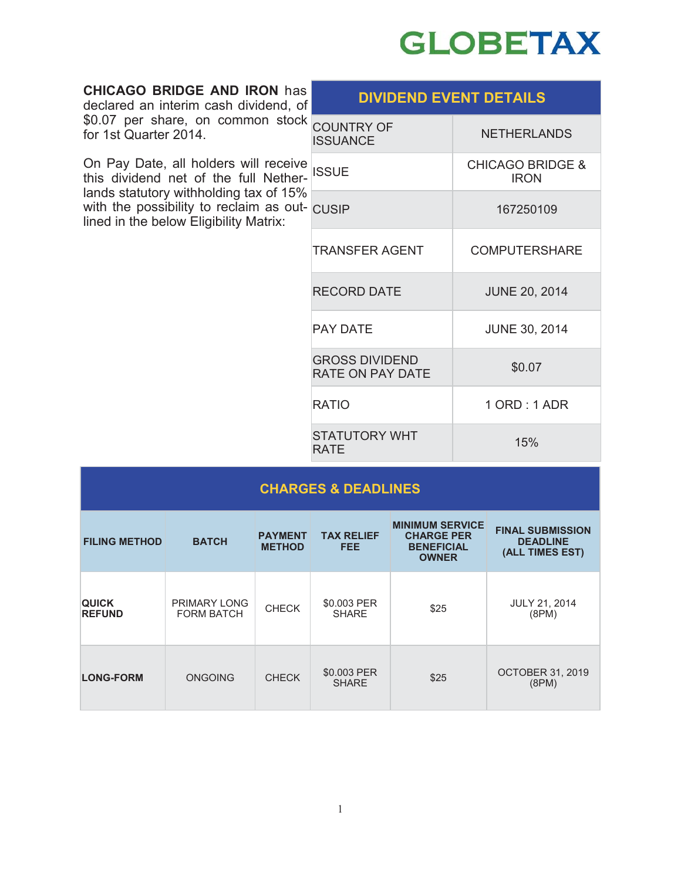

| <b>CHICAGO BRIDGE AND IRON has</b><br>declared an interim cash dividend, of<br>\$0.07 per share, on common stock<br>for 1st Quarter 2014.                                                                                   | <b>DIVIDEND EVENT DETAILS</b>                    |                                            |  |
|-----------------------------------------------------------------------------------------------------------------------------------------------------------------------------------------------------------------------------|--------------------------------------------------|--------------------------------------------|--|
|                                                                                                                                                                                                                             | <b>COUNTRY OF</b><br><b>ISSUANCE</b>             | <b>NETHERLANDS</b>                         |  |
| On Pay Date, all holders will receive<br>this dividend net of the full Nether-<br>lands statutory withholding tax of 15%<br>with the possibility to reclaim as out- $\vert$ CUSIP<br>lined in the below Eligibility Matrix: | <b>ISSUE</b>                                     | <b>CHICAGO BRIDGE &amp;</b><br><b>IRON</b> |  |
|                                                                                                                                                                                                                             |                                                  | 167250109                                  |  |
|                                                                                                                                                                                                                             | <b>TRANSFER AGENT</b>                            | <b>COMPUTERSHARE</b>                       |  |
|                                                                                                                                                                                                                             | <b>RECORD DATE</b>                               | <b>JUNE 20, 2014</b>                       |  |
|                                                                                                                                                                                                                             | <b>PAY DATE</b>                                  | <b>JUNE 30, 2014</b>                       |  |
|                                                                                                                                                                                                                             | <b>GROSS DIVIDEND</b><br><b>RATE ON PAY DATE</b> | \$0.07                                     |  |
|                                                                                                                                                                                                                             | <b>RATIO</b>                                     | 1 ORD : 1 ADR                              |  |
|                                                                                                                                                                                                                             | <b>STATUTORY WHT</b><br><b>RATE</b>              | 15%                                        |  |
| CUADCES 2 DEADI INES                                                                                                                                                                                                        |                                                  |                                            |  |

| <b>CHARGES &amp; DEADLINES</b> |                                   |                                 |                             |                                                                                  |                                                               |
|--------------------------------|-----------------------------------|---------------------------------|-----------------------------|----------------------------------------------------------------------------------|---------------------------------------------------------------|
| <b>FILING METHOD</b>           | <b>BATCH</b>                      | <b>PAYMENT</b><br><b>METHOD</b> | <b>TAX RELIEF</b><br>FEE.   | <b>MINIMUM SERVICE</b><br><b>CHARGE PER</b><br><b>BENEFICIAL</b><br><b>OWNER</b> | <b>FINAL SUBMISSION</b><br><b>DEADLINE</b><br>(ALL TIMES EST) |
| <b>QUICK</b><br><b>REFUND</b>  | PRIMARY LONG<br><b>FORM BATCH</b> | <b>CHECK</b>                    | \$0.003 PER<br><b>SHARE</b> | \$25                                                                             | <b>JULY 21, 2014</b><br>(8PM)                                 |
| <b>LONG-FORM</b>               | <b>ONGOING</b>                    | <b>CHECK</b>                    | \$0.003 PER<br><b>SHARE</b> | \$25                                                                             | <b>OCTOBER 31, 2019</b><br>(8PM)                              |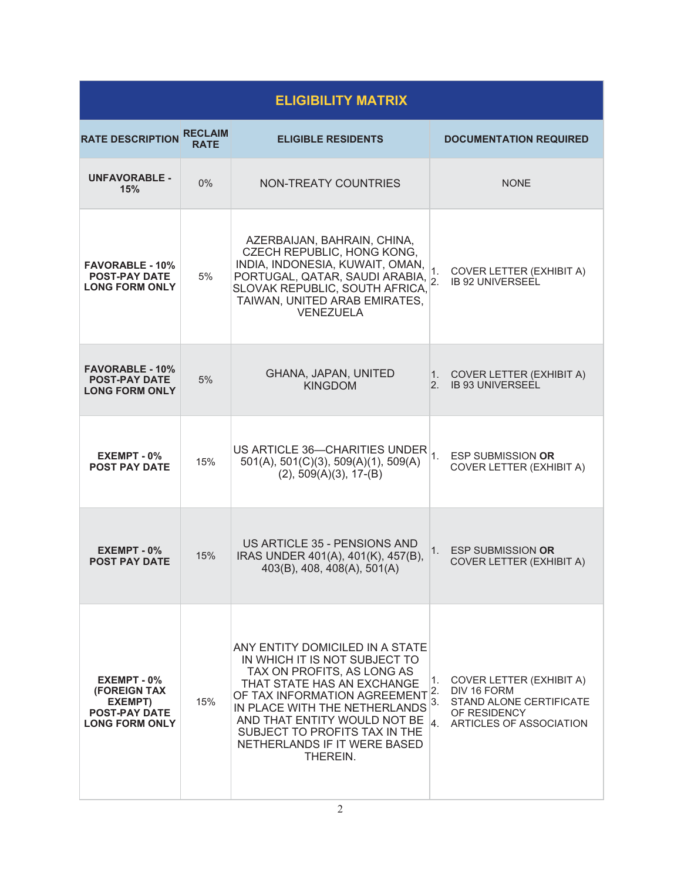| <b>ELIGIBILITY MATRIX</b>                                                                           |                               |                                                                                                                                                                                                                                                                                                                |                                                                                                                                        |  |  |
|-----------------------------------------------------------------------------------------------------|-------------------------------|----------------------------------------------------------------------------------------------------------------------------------------------------------------------------------------------------------------------------------------------------------------------------------------------------------------|----------------------------------------------------------------------------------------------------------------------------------------|--|--|
| <b>RATE DESCRIPTION</b>                                                                             | <b>RECLAIM</b><br><b>RATE</b> | <b>ELIGIBLE RESIDENTS</b>                                                                                                                                                                                                                                                                                      | <b>DOCUMENTATION REQUIRED</b>                                                                                                          |  |  |
| <b>UNFAVORABLE -</b><br>15%                                                                         | $0\%$                         | <b>NON-TREATY COUNTRIES</b>                                                                                                                                                                                                                                                                                    | <b>NONE</b>                                                                                                                            |  |  |
| <b>FAVORABLE - 10%</b><br><b>POST-PAY DATE</b><br><b>LONG FORM ONLY</b>                             | 5%                            | AZERBAIJAN, BAHRAIN, CHINA,<br>CZECH REPUBLIC, HONG KONG,<br>INDIA, INDONESIA, KUWAIT, OMAN,<br>PORTUGAL, QATAR, SAUDI ARABIA, 2<br>SLOVAK REPUBLIC, SOUTH AFRICA,<br>TAIWAN, UNITED ARAB EMIRATES,<br><b>VENEZUELA</b>                                                                                        | COVER LETTER (EXHIBIT A)<br>1.<br><b>IB 92 UNIVERSEEL</b>                                                                              |  |  |
| <b>FAVORABLE - 10%</b><br><b>POST-PAY DATE</b><br><b>LONG FORM ONLY</b>                             | 5%                            | GHANA, JAPAN, UNITED<br><b>KINGDOM</b>                                                                                                                                                                                                                                                                         | 1. COVER LETTER (EXHIBIT A)<br><b>IB 93 UNIVERSEEL</b><br>2.                                                                           |  |  |
| EXEMPT - 0%<br><b>POST PAY DATE</b>                                                                 | 15%                           | US ARTICLE 36-CHARITIES UNDER<br>501(A), 501(C)(3), 509(A)(1), 509(A)<br>$(2), 509(A)(3), 17-(B)$                                                                                                                                                                                                              | $\overline{1}$ .<br><b>ESP SUBMISSION OR</b><br><b>COVER LETTER (EXHIBIT A)</b>                                                        |  |  |
| EXEMPT - 0%<br><b>POST PAY DATE</b>                                                                 | 15%                           | US ARTICLE 35 - PENSIONS AND<br>IRAS UNDER 401(A), 401(K), 457(B),<br>403(B), 408, 408(A), 501(A)                                                                                                                                                                                                              | <b>ESP SUBMISSION OR</b><br>1.<br>COVER LETTER (EXHIBIT A)                                                                             |  |  |
| $EXEMENT - 0$ %<br><b>(FOREIGN TAX)</b><br>EXEMPT)<br><b>POST-PAY DATE</b><br><b>LONG FORM ONLY</b> | 15%                           | ANY ENTITY DOMICILED IN A STATE<br>IN WHICH IT IS NOT SUBJECT TO<br>TAX ON PROFITS, AS LONG AS<br>THAT STATE HAS AN EXCHANGE<br>OF TAX INFORMATION AGREEMENT<br>IN PLACE WITH THE NETHERLANDS<br>AND THAT ENTITY WOULD NOT BE  4.<br>SUBJECT TO PROFITS TAX IN THE<br>NETHERLANDS IF IT WERE BASED<br>THEREIN. | COVER LETTER (EXHIBIT A)<br>1.<br>DIV 16 FORM<br>2.<br><b>STAND ALONE CERTIFICATE</b><br>3.<br>OF RESIDENCY<br>ARTICLES OF ASSOCIATION |  |  |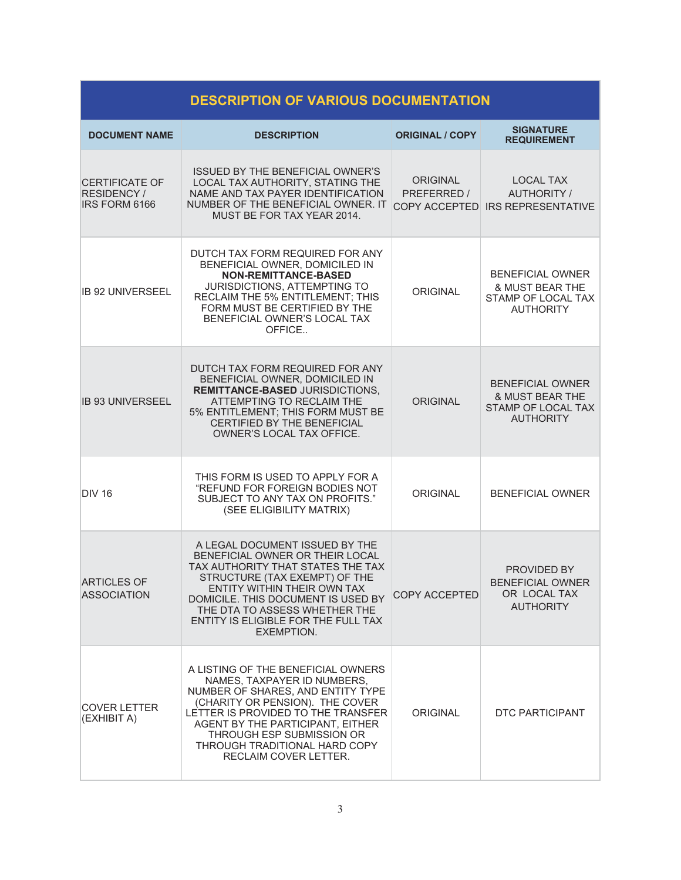| <b>DESCRIPTION OF VARIOUS DOCUMENTATION</b>                        |                                                                                                                                                                                                                                                                                                            |                                |                                                                                                        |  |  |
|--------------------------------------------------------------------|------------------------------------------------------------------------------------------------------------------------------------------------------------------------------------------------------------------------------------------------------------------------------------------------------------|--------------------------------|--------------------------------------------------------------------------------------------------------|--|--|
| <b>DOCUMENT NAME</b>                                               | <b>DESCRIPTION</b>                                                                                                                                                                                                                                                                                         | <b>ORIGINAL / COPY</b>         | <b>SIGNATURE</b><br><b>REQUIREMENT</b>                                                                 |  |  |
| <b>CERTIFICATE OF</b><br><b>RESIDENCY/</b><br><b>IRS FORM 6166</b> | <b>ISSUED BY THE BENEFICIAL OWNER'S</b><br>LOCAL TAX AUTHORITY, STATING THE<br>NAME AND TAX PAYER IDENTIFICATION<br>NUMBER OF THE BENEFICIAL OWNER. IT<br>MUST BE FOR TAX YEAR 2014.                                                                                                                       | <b>ORIGINAL</b><br>PREFERRED / | <b>LOCAL TAX</b><br><b>AUTHORITY /</b><br>COPY ACCEPTED IRS REPRESENTATIVE                             |  |  |
| IB 92 UNIVERSEEL                                                   | DUTCH TAX FORM REQUIRED FOR ANY<br>BENEFICIAL OWNER, DOMICILED IN<br><b>NON-REMITTANCE-BASED</b><br><b>JURISDICTIONS, ATTEMPTING TO</b><br>RECLAIM THE 5% ENTITLEMENT; THIS<br>FORM MUST BE CERTIFIED BY THE<br>BENEFICIAL OWNER'S LOCAL TAX<br>OFFICE                                                     | <b>ORIGINAL</b>                | <b>BENEFICIAL OWNER</b><br><b>&amp; MUST BEAR THE</b><br>STAMP OF LOCAL TAX<br><b>AUTHORITY</b>        |  |  |
| <b>IB 93 UNIVERSEEL</b>                                            | DUTCH TAX FORM REQUIRED FOR ANY<br>BENEFICIAL OWNER, DOMICILED IN<br><b>REMITTANCE-BASED JURISDICTIONS,</b><br>ATTEMPTING TO RECLAIM THE<br>5% ENTITLEMENT; THIS FORM MUST BE<br><b>CERTIFIED BY THE BENEFICIAL</b><br>OWNER'S LOCAL TAX OFFICE.                                                           | <b>ORIGINAL</b>                | <b>BENEFICIAL OWNER</b><br><b>&amp; MUST BEAR THE</b><br><b>STAMP OF LOCAL TAX</b><br><b>AUTHORITY</b> |  |  |
| <b>DIV 16</b>                                                      | THIS FORM IS USED TO APPLY FOR A<br>"REFUND FOR FOREIGN BODIES NOT<br>SUBJECT TO ANY TAX ON PROFITS."<br>(SEE ELIGIBILITY MATRIX)                                                                                                                                                                          | <b>ORIGINAL</b>                | <b>BENEFICIAL OWNER</b>                                                                                |  |  |
| <b>ARTICLES OF</b><br><b>ASSOCIATION</b>                           | A LEGAL DOCUMENT ISSUED BY THE<br>BENEFICIAL OWNER OR THEIR LOCAL<br>TAX AUTHORITY THAT STATES THE TAX<br>STRUCTURE (TAX EXEMPT) OF THE<br>ENTITY WITHIN THEIR OWN TAX<br>DOMICILE. THIS DOCUMENT IS USED BY<br>THE DTA TO ASSESS WHETHER THE<br>ENTITY IS ELIGIBLE FOR THE FULL TAX<br><b>EXEMPTION.</b>  | COPY ACCEPTED                  | PROVIDED BY<br><b>BENEFICIAL OWNER</b><br>OR LOCAL TAX<br><b>AUTHORITY</b>                             |  |  |
| <b>COVER LETTER</b><br>(EXHIBIT A)                                 | A LISTING OF THE BENEFICIAL OWNERS<br>NAMES, TAXPAYER ID NUMBERS,<br>NUMBER OF SHARES, AND ENTITY TYPE<br>(CHARITY OR PENSION). THE COVER<br>LETTER IS PROVIDED TO THE TRANSFER<br>AGENT BY THE PARTICIPANT, EITHER<br>THROUGH ESP SUBMISSION OR<br>THROUGH TRADITIONAL HARD COPY<br>RECLAIM COVER LETTER. | ORIGINAL                       | DTC PARTICIPANT                                                                                        |  |  |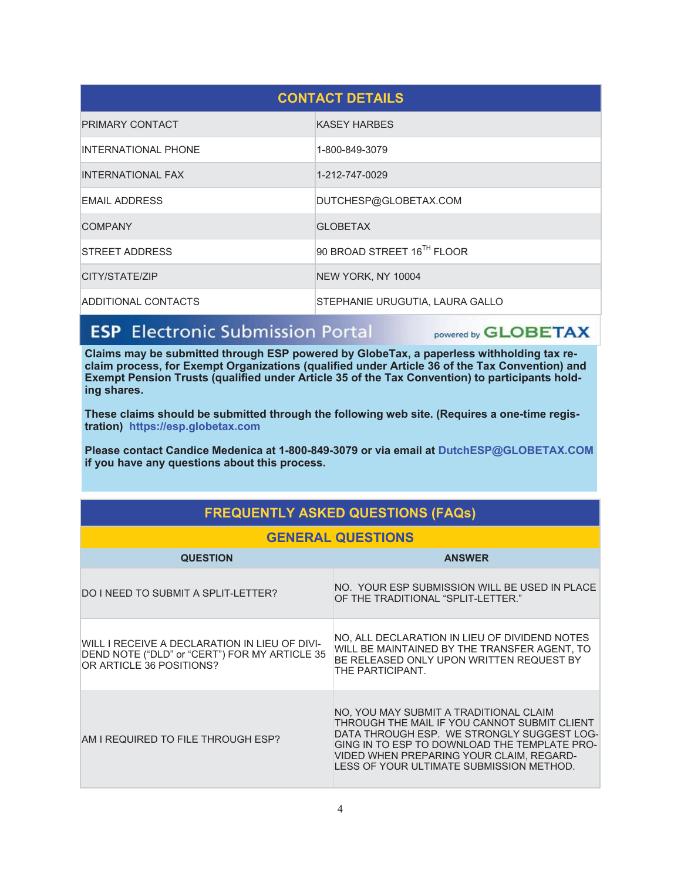| <b>CONTACT DETAILS</b>     |                                 |  |  |
|----------------------------|---------------------------------|--|--|
| <b>PRIMARY CONTACT</b>     | <b>KASEY HARBES</b>             |  |  |
| <b>INTERNATIONAL PHONE</b> | 1-800-849-3079                  |  |  |
| <b>INTERNATIONAL FAX</b>   | 1-212-747-0029                  |  |  |
| <b>EMAIL ADDRESS</b>       | DUTCHESP@GLOBETAX.COM           |  |  |
| <b>COMPANY</b>             | <b>GI OBFTAX</b>                |  |  |
| <b>STREET ADDRESS</b>      | 90 BROAD STREET 16TH FLOOR      |  |  |
| CITY/STATE/ZIP             | NEW YORK, NY 10004              |  |  |
| ADDITIONAL CONTACTS        | STEPHANIE URUGUTIA, LAURA GALLO |  |  |

## **ESP** Electronic Submission Portal

powered by **GLOBETAX** 

Claims may be submitted through ESP powered by GlobeTax, a paperless withholding tax reclaim process, for Exempt Organizations (qualified under Article 36 of the Tax Convention) and Exempt Pension Trusts (qualified under Article 35 of the Tax Convention) to participants holding shares.

These claims should be submitted through the following web site. (Requires a one-time registration) https://esp.globetax.com

Please contact Candice Medenica at 1-800-849-3079 or via email at DutchESP@GLOBETAX.COM if you have any questions about this process.

| <b>GENERAL QUESTIONS</b>                                                                                                   |                                                                                                                                                                                                                                                                              |  |  |
|----------------------------------------------------------------------------------------------------------------------------|------------------------------------------------------------------------------------------------------------------------------------------------------------------------------------------------------------------------------------------------------------------------------|--|--|
| <b>QUESTION</b>                                                                                                            | <b>ANSWER</b>                                                                                                                                                                                                                                                                |  |  |
| DO I NEED TO SUBMIT A SPLIT-LETTER?                                                                                        | NO. YOUR ESP SUBMISSION WILL BE USED IN PLACE<br>OF THE TRADITIONAL "SPLIT-LETTER."                                                                                                                                                                                          |  |  |
| WILL I RECEIVE A DECLARATION IN LIEU OF DIVI-<br>DEND NOTE ("DLD" or "CERT") FOR MY ARTICLE 35<br>OR ARTICLE 36 POSITIONS? | NO, ALL DECLARATION IN LIEU OF DIVIDEND NOTES<br>WILL BE MAINTAINED BY THE TRANSFER AGENT, TO<br>BE RELEASED ONLY UPON WRITTEN REQUEST BY<br>THE PARTICIPANT.                                                                                                                |  |  |
| AM I REQUIRED TO FILE THROUGH ESP?                                                                                         | NO, YOU MAY SUBMIT A TRADITIONAL CLAIM<br>THROUGH THE MAIL IF YOU CANNOT SUBMIT CLIENT<br>DATA THROUGH ESP. WE STRONGLY SUGGEST LOG-<br>GING IN TO ESP TO DOWNLOAD THE TEMPLATE PRO-<br>VIDED WHEN PREPARING YOUR CLAIM, REGARD-<br>LESS OF YOUR ULTIMATE SUBMISSION METHOD. |  |  |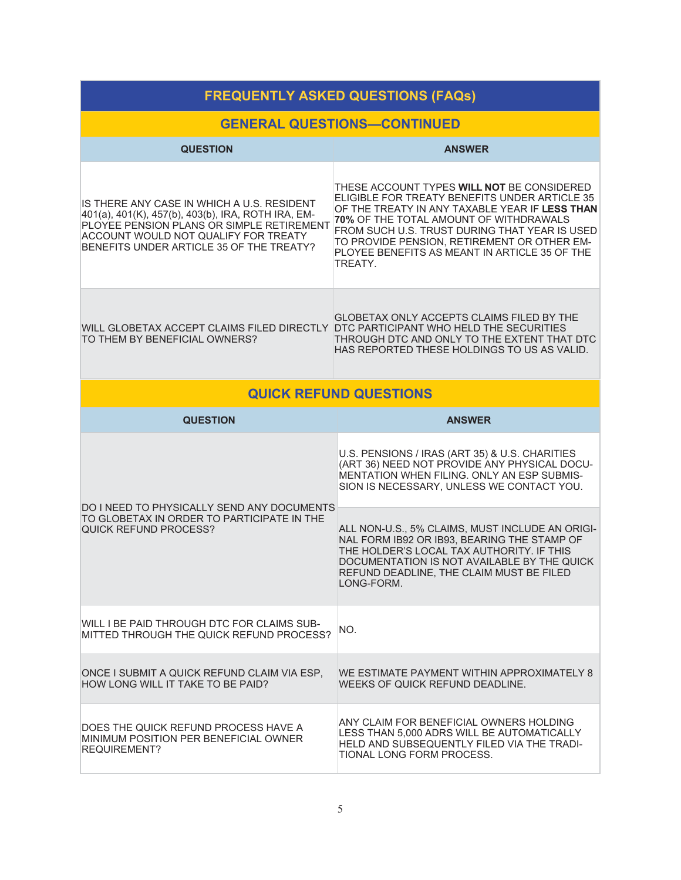| <b>FREQUENTLY ASKED QUESTIONS (FAQs)</b>                                                                                                                                                                                          |                                                                                                                                                                                                                                                                                                                                                     |  |  |  |
|-----------------------------------------------------------------------------------------------------------------------------------------------------------------------------------------------------------------------------------|-----------------------------------------------------------------------------------------------------------------------------------------------------------------------------------------------------------------------------------------------------------------------------------------------------------------------------------------------------|--|--|--|
| <b>GENERAL QUESTIONS-CONTINUED</b>                                                                                                                                                                                                |                                                                                                                                                                                                                                                                                                                                                     |  |  |  |
| <b>QUESTION</b>                                                                                                                                                                                                                   | <b>ANSWER</b>                                                                                                                                                                                                                                                                                                                                       |  |  |  |
| IS THERE ANY CASE IN WHICH A U.S. RESIDENT<br>401(a), 401(K), 457(b), 403(b), IRA, ROTH IRA, EM-<br>PLOYEE PENSION PLANS OR SIMPLE RETIREMENT<br>ACCOUNT WOULD NOT QUALIFY FOR TREATY<br>BENEFITS UNDER ARTICLE 35 OF THE TREATY? | THESE ACCOUNT TYPES WILL NOT BE CONSIDERED<br>ELIGIBLE FOR TREATY BENEFITS UNDER ARTICLE 35<br>OF THE TREATY IN ANY TAXABLE YEAR IF LESS THAN<br>70% OF THE TOTAL AMOUNT OF WITHDRAWALS<br>FROM SUCH U.S. TRUST DURING THAT YEAR IS USED<br>TO PROVIDE PENSION, RETIREMENT OR OTHER EM-<br>PLOYEE BENEFITS AS MEANT IN ARTICLE 35 OF THE<br>TREATY. |  |  |  |
| WILL GLOBETAX ACCEPT CLAIMS FILED DIRECTLY DTC PARTICIPANT WHO HELD THE SECURITIES<br>TO THEM BY BENEFICIAL OWNERS?                                                                                                               | <b>GLOBETAX ONLY ACCEPTS CLAIMS FILED BY THE</b><br>THROUGH DTC AND ONLY TO THE EXTENT THAT DTC<br>HAS REPORTED THESE HOLDINGS TO US AS VALID.                                                                                                                                                                                                      |  |  |  |
|                                                                                                                                                                                                                                   | <b>QUICK REFUND QUESTIONS</b>                                                                                                                                                                                                                                                                                                                       |  |  |  |
| <b>QUESTION</b>                                                                                                                                                                                                                   | <b>ANSWER</b>                                                                                                                                                                                                                                                                                                                                       |  |  |  |
|                                                                                                                                                                                                                                   | U.S. PENSIONS / IRAS (ART 35) & U.S. CHARITIES<br>(ART 36) NEED NOT PROVIDE ANY PHYSICAL DOCU-<br>MENTATION WHEN FILING. ONLY AN ESP SUBMIS-<br>SION IS NECESSARY, UNLESS WE CONTACT YOU.                                                                                                                                                           |  |  |  |
| DO I NEED TO PHYSICALLY SEND ANY DOCUMENTS<br>TO GLOBETAX IN ORDER TO PARTICIPATE IN THE<br><b>QUICK REFUND PROCESS?</b>                                                                                                          | ALL NON-U.S., 5% CLAIMS, MUST INCLUDE AN ORIGI-<br>NAL FORM IB92 OR IB93, BEARING THE STAMP OF<br>THE HOLDER'S LOCAL TAX AUTHORITY. IF THIS<br>DOCUMENTATION IS NOT AVAILABLE BY THE QUICK<br>REFUND DEADLINE, THE CLAIM MUST BE FILED<br>LONG-FORM.                                                                                                |  |  |  |
| WILL I BE PAID THROUGH DTC FOR CLAIMS SUB-<br>MITTED THROUGH THE QUICK REFUND PROCESS?                                                                                                                                            | NO.                                                                                                                                                                                                                                                                                                                                                 |  |  |  |
| ONCE I SUBMIT A QUICK REFUND CLAIM VIA ESP.<br>HOW LONG WILL IT TAKE TO BE PAID?                                                                                                                                                  | WE ESTIMATE PAYMENT WITHIN APPROXIMATELY 8<br>WEEKS OF QUICK REFUND DEADLINE.                                                                                                                                                                                                                                                                       |  |  |  |
| DOES THE QUICK REFUND PROCESS HAVE A<br>MINIMUM POSITION PER BENEFICIAL OWNER<br><b>REQUIREMENT?</b>                                                                                                                              | ANY CLAIM FOR BENEFICIAL OWNERS HOLDING<br>LESS THAN 5,000 ADRS WILL BE AUTOMATICALLY<br>HELD AND SUBSEQUENTLY FILED VIA THE TRADI-<br>TIONAL LONG FORM PROCESS.                                                                                                                                                                                    |  |  |  |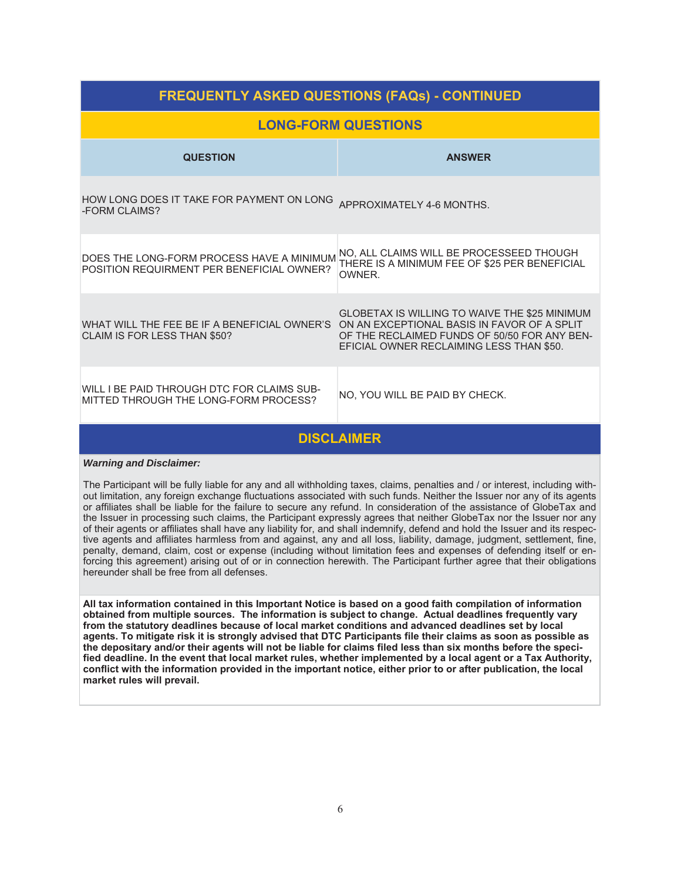| <b>FREQUENTLY ASKED QUESTIONS (FAQs) - CONTINUED</b>                                                                     |                                                                                                                                           |  |  |  |
|--------------------------------------------------------------------------------------------------------------------------|-------------------------------------------------------------------------------------------------------------------------------------------|--|--|--|
|                                                                                                                          | <b>LONG-FORM QUESTIONS</b>                                                                                                                |  |  |  |
| <b>QUESTION</b>                                                                                                          | <b>ANSWER</b>                                                                                                                             |  |  |  |
| HOW LONG DOES IT TAKE FOR PAYMENT ON LONG<br>-FORM CLAIMS?                                                               | APPROXIMATELY 4-6 MONTHS.                                                                                                                 |  |  |  |
| DOES THE LONG-FORM PROCESS HAVE A MINIMUM<br>POSITION REQUIRMENT PER BENEFICIAL OWNER?                                   | NO. ALL CLAIMS WILL BE PROCESSEED THOUGH<br>THERE IS A MINIMUM FEE OF \$25 PER BENEFICIAL<br>OWNER.                                       |  |  |  |
| WHAT WILL THE FEE BE IF A BENEFICIAL OWNER'S ON AN EXCEPTIONAL BASIS IN FAVOR OF A SPLIT<br>CLAIM IS FOR LESS THAN \$50? | GLOBETAX IS WILLING TO WAIVE THE \$25 MINIMUM<br>OF THE RECLAIMED FUNDS OF 50/50 FOR ANY BEN-<br>EFICIAL OWNER RECLAIMING LESS THAN \$50. |  |  |  |
| WILL I BE PAID THROUGH DTC FOR CLAIMS SUB-<br>MITTED THROUGH THE LONG-FORM PROCESS?                                      | NO, YOU WILL BE PAID BY CHECK.                                                                                                            |  |  |  |
| <b>DISCLAIMER</b>                                                                                                        |                                                                                                                                           |  |  |  |

#### **Warning and Disclaimer:**

The Participant will be fully liable for any and all withholding taxes, claims, penalties and / or interest, including without limitation, any foreign exchange fluctuations associated with such funds. Neither the Issuer nor any of its agents or affiliates shall be liable for the failure to secure any refund. In consideration of the assistance of GlobeTax and the Issuer in processing such claims, the Participant expressly agrees that neither GlobeTax nor the Issuer nor any of their agents or affiliates shall have any liability for, and shall indemnify, defend and hold the Issuer and its respective agents and affiliates harmless from and against, any and all loss, liability, damage, judgment, settlement, fine, penalty, demand, claim, cost or expense (including without limitation fees and expenses of defending itself or enforcing this agreement) arising out of or in connection herewith. The Participant further agree that their obligations hereunder shall be free from all defenses.

All tax information contained in this Important Notice is based on a good faith compilation of information obtained from multiple sources. The information is subject to change. Actual deadlines frequently vary from the statutory deadlines because of local market conditions and advanced deadlines set by local agents. To mitigate risk it is strongly advised that DTC Participants file their claims as soon as possible as the depositary and/or their agents will not be liable for claims filed less than six months before the specified deadline. In the event that local market rules, whether implemented by a local agent or a Tax Authority, conflict with the information provided in the important notice, either prior to or after publication, the local market rules will prevail.